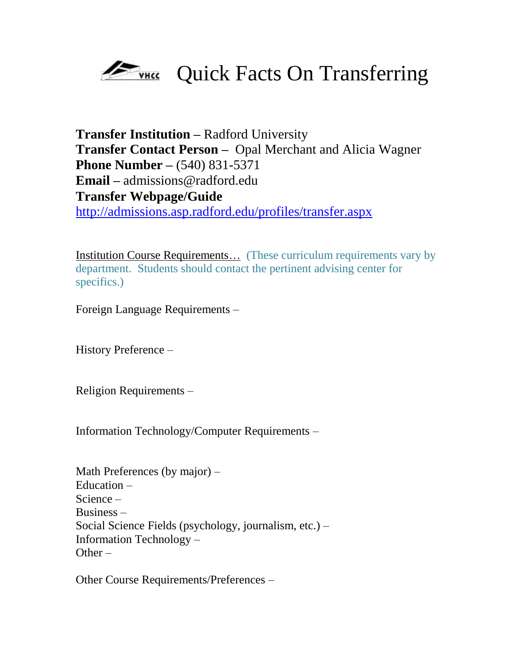

**Transfer Institution –** Radford University **Transfer Contact Person –** Opal Merchant and Alicia Wagner **Phone Number –** (540) 831-5371 **Email –** admissions@radford.edu **Transfer Webpage/Guide**  <http://admissions.asp.radford.edu/profiles/transfer.aspx>

Institution Course Requirements… (These curriculum requirements vary by department. Students should contact the pertinent advising center for specifics.)

Foreign Language Requirements –

History Preference –

Religion Requirements –

Information Technology/Computer Requirements –

Math Preferences (by major) – Education – Science – Business – Social Science Fields (psychology, journalism, etc.) – Information Technology – Other  $-$ 

Other Course Requirements/Preferences –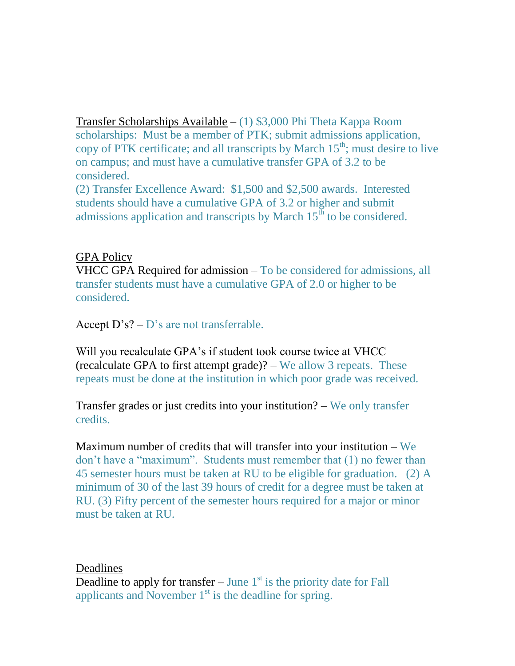Transfer Scholarships Available – (1) \$3,000 Phi Theta Kappa Room scholarships: Must be a member of PTK; submit admissions application, copy of PTK certificate; and all transcripts by March  $15<sup>th</sup>$ ; must desire to live on campus; and must have a cumulative transfer GPA of 3.2 to be considered.

(2) Transfer Excellence Award: \$1,500 and \$2,500 awards. Interested students should have a cumulative GPA of 3.2 or higher and submit admissions application and transcripts by March  $15<sup>th</sup>$  to be considered.

## GPA Policy

VHCC GPA Required for admission – To be considered for admissions, all transfer students must have a cumulative GPA of 2.0 or higher to be considered.

Accept  $D's? - D's$  are not transferrable.

Will you recalculate GPA's if student took course twice at VHCC (recalculate GPA to first attempt grade)? – We allow 3 repeats. These repeats must be done at the institution in which poor grade was received.

Transfer grades or just credits into your institution? – We only transfer credits.

Maximum number of credits that will transfer into your institution – We don't have a "maximum". Students must remember that (1) no fewer than 45 semester hours must be taken at RU to be eligible for graduation. (2) A minimum of 30 of the last 39 hours of credit for a degree must be taken at RU. (3) Fifty percent of the semester hours required for a major or minor must be taken at RU.

## Deadlines

Deadline to apply for transfer – June  $1<sup>st</sup>$  is the priority date for Fall applicants and November  $1<sup>st</sup>$  is the deadline for spring.